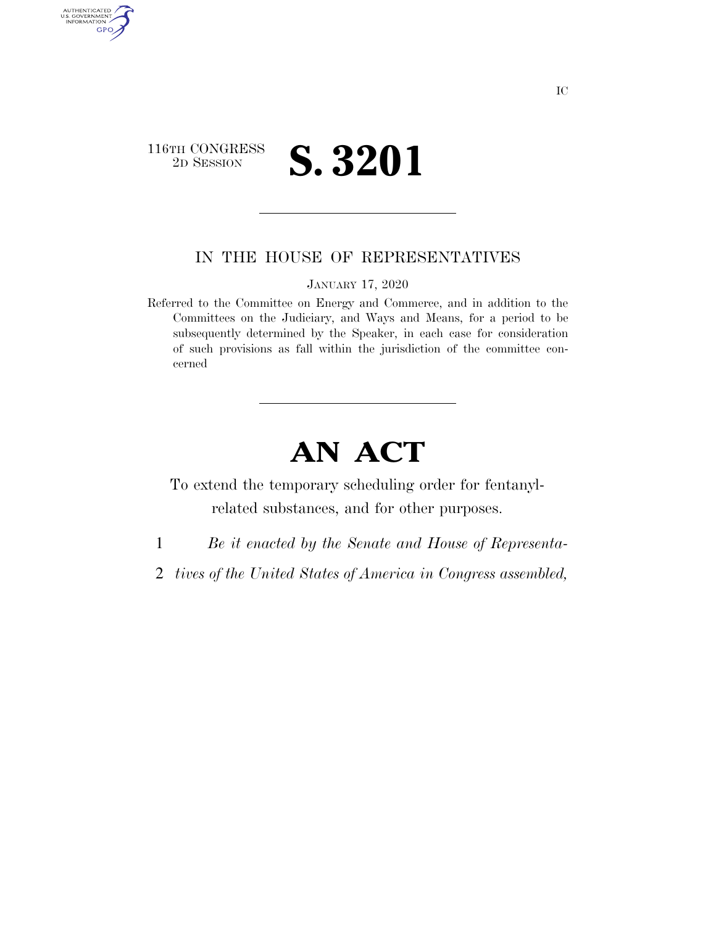

AUTHENTICATED<br>U.S. GOVERNMENT<br>INFORMATION

GPO

## IN THE HOUSE OF REPRESENTATIVES

JANUARY 17, 2020

Referred to the Committee on Energy and Commerce, and in addition to the Committees on the Judiciary, and Ways and Means, for a period to be subsequently determined by the Speaker, in each case for consideration of such provisions as fall within the jurisdiction of the committee concerned

## **AN ACT**

To extend the temporary scheduling order for fentanylrelated substances, and for other purposes.

- 1 *Be it enacted by the Senate and House of Representa-*
- 2 *tives of the United States of America in Congress assembled,*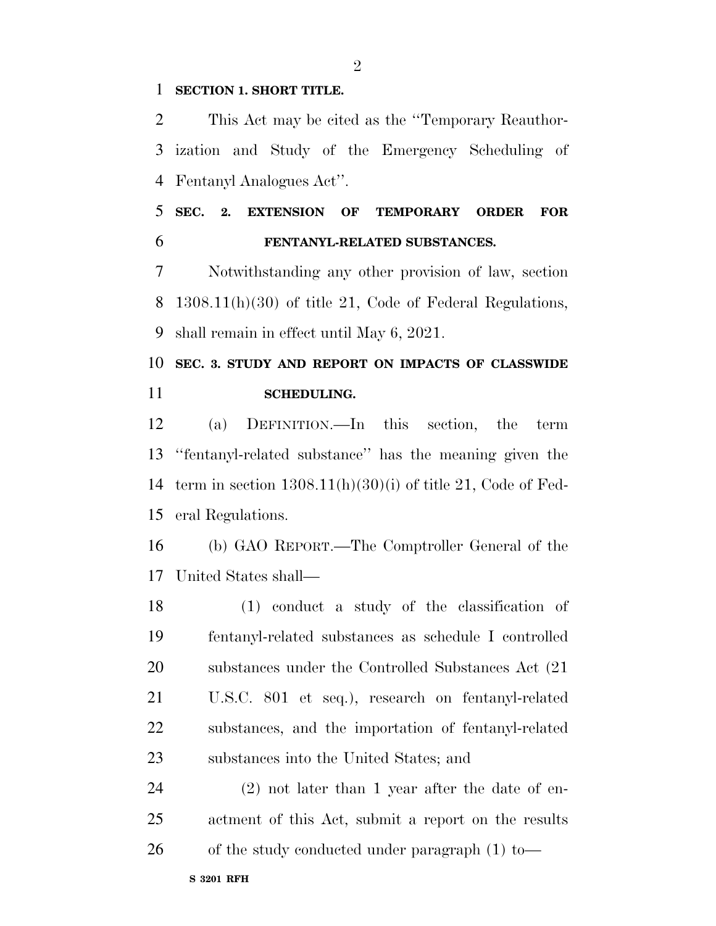## **SECTION 1. SHORT TITLE.**

 This Act may be cited as the ''Temporary Reauthor- ization and Study of the Emergency Scheduling of Fentanyl Analogues Act''.

 **SEC. 2. EXTENSION OF TEMPORARY ORDER FOR FENTANYL-RELATED SUBSTANCES.** 

 Notwithstanding any other provision of law, section 1308.11(h)(30) of title 21, Code of Federal Regulations, shall remain in effect until May 6, 2021.

 **SEC. 3. STUDY AND REPORT ON IMPACTS OF CLASSWIDE SCHEDULING.** 

 (a) DEFINITION.—In this section, the term ''fentanyl-related substance'' has the meaning given the term in section 1308.11(h)(30)(i) of title 21, Code of Fed-eral Regulations.

 (b) GAO REPORT.—The Comptroller General of the United States shall—

 (1) conduct a study of the classification of fentanyl-related substances as schedule I controlled substances under the Controlled Substances Act (21 U.S.C. 801 et seq.), research on fentanyl-related substances, and the importation of fentanyl-related substances into the United States; and

 (2) not later than 1 year after the date of en- actment of this Act, submit a report on the results 26 of the study conducted under paragraph (1) to—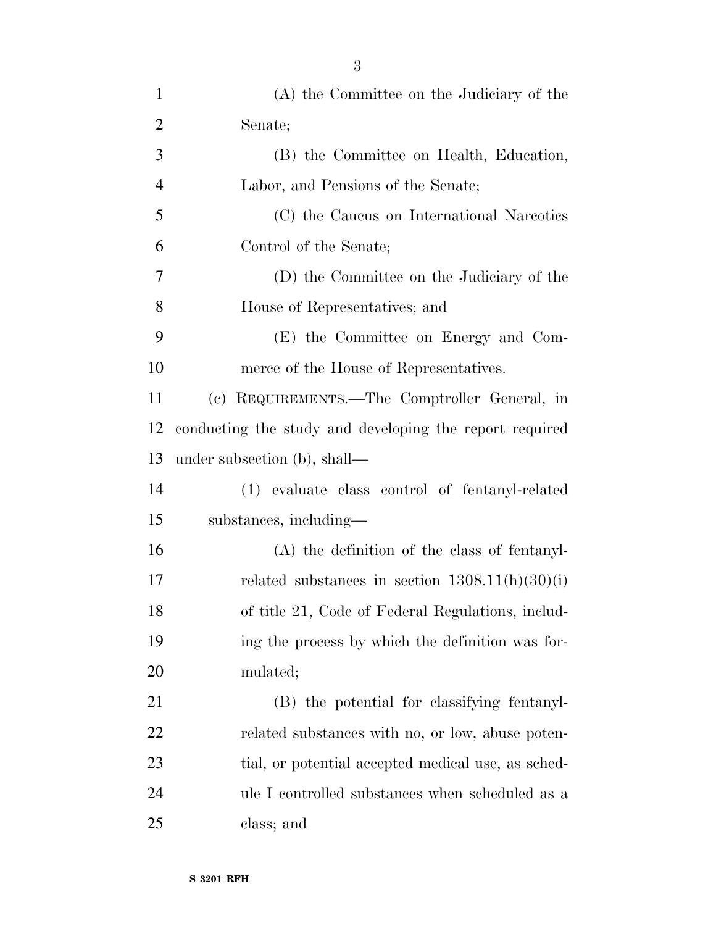| $\mathbf{1}$   | (A) the Committee on the Judiciary of the               |
|----------------|---------------------------------------------------------|
| $\overline{2}$ | Senate;                                                 |
| 3              | (B) the Committee on Health, Education,                 |
| $\overline{4}$ | Labor, and Pensions of the Senate;                      |
| 5              | (C) the Caucus on International Narcotics               |
| 6              | Control of the Senate;                                  |
| 7              | (D) the Committee on the Judiciary of the               |
| 8              | House of Representatives; and                           |
| 9              | (E) the Committee on Energy and Com-                    |
| 10             | merce of the House of Representatives.                  |
| 11             | (c) REQUIREMENTS.—The Comptroller General, in           |
| 12             | conducting the study and developing the report required |
| 13             | under subsection (b), shall—                            |
| 14             | (1) evaluate class control of fentanyl-related          |
| 15             | substances, including—                                  |
| 16             | (A) the definition of the class of fentanyl-            |
| 17             | related substances in section $1308.11(h)(30)(i)$       |
| 18             | of title 21, Code of Federal Regulations, includ-       |
| 19             | ing the process by which the definition was for-        |
| <b>20</b>      | mulated;                                                |
| 21             | (B) the potential for classifying fentanyl-             |
| 22             | related substances with no, or low, abuse poten-        |
| 23             | tial, or potential accepted medical use, as sched-      |
| 24             | ule I controlled substances when scheduled as a         |
| 25             | class; and                                              |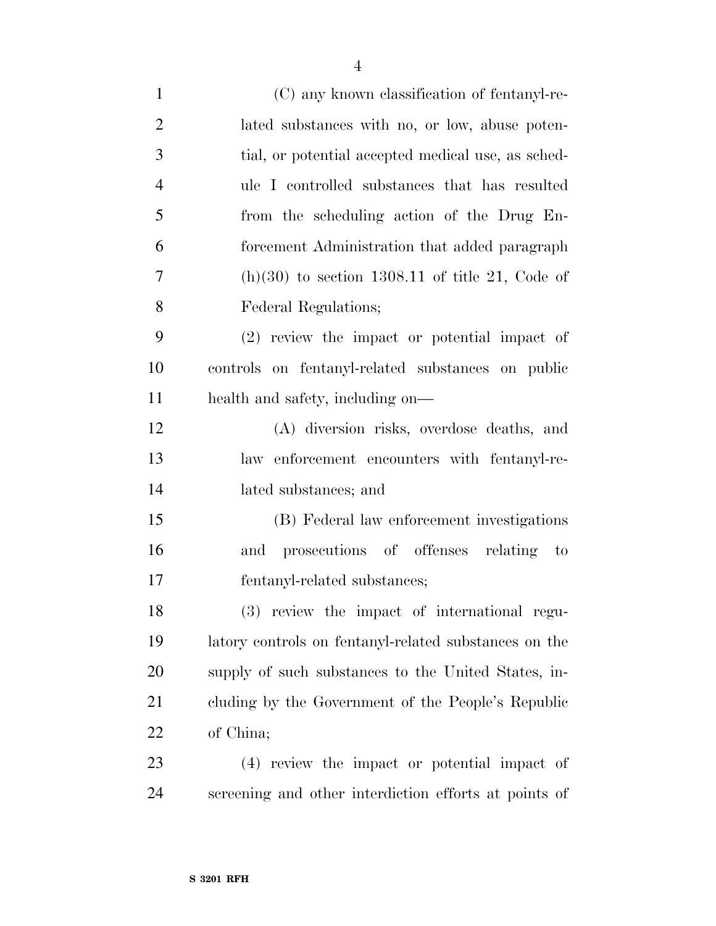| $\mathbf{1}$   | (C) any known classification of fentanyl-re-          |
|----------------|-------------------------------------------------------|
| $\overline{2}$ | lated substances with no, or low, abuse poten-        |
| 3              | tial, or potential accepted medical use, as sched-    |
| $\overline{4}$ | ule I controlled substances that has resulted         |
| 5              | from the scheduling action of the Drug En-            |
| 6              | forcement Administration that added paragraph         |
| $\tau$         | $(h)(30)$ to section 1308.11 of title 21, Code of     |
| 8              | Federal Regulations;                                  |
| 9              | $(2)$ review the impact or potential impact of        |
| 10             | controls on fentanyl-related substances on public     |
| 11             | health and safety, including on—                      |
| 12             | (A) diversion risks, overdose deaths, and             |
| 13             | law enforcement encounters with fentanyl-re-          |
| 14             | lated substances; and                                 |
| 15             | (B) Federal law enforcement investigations            |
| 16             | prosecutions of offenses relating to<br>and           |
| 17             | fentanyl-related substances;                          |
| 18             | (3) review the impact of international regu-          |
| 19             | latory controls on fentanyl-related substances on the |
| 20             | supply of such substances to the United States, in-   |
| 21             | cluding by the Government of the People's Republic    |
| 22             | of China;                                             |
| 23             | (4) review the impact or potential impact of          |
| 24             | screening and other interdiction efforts at points of |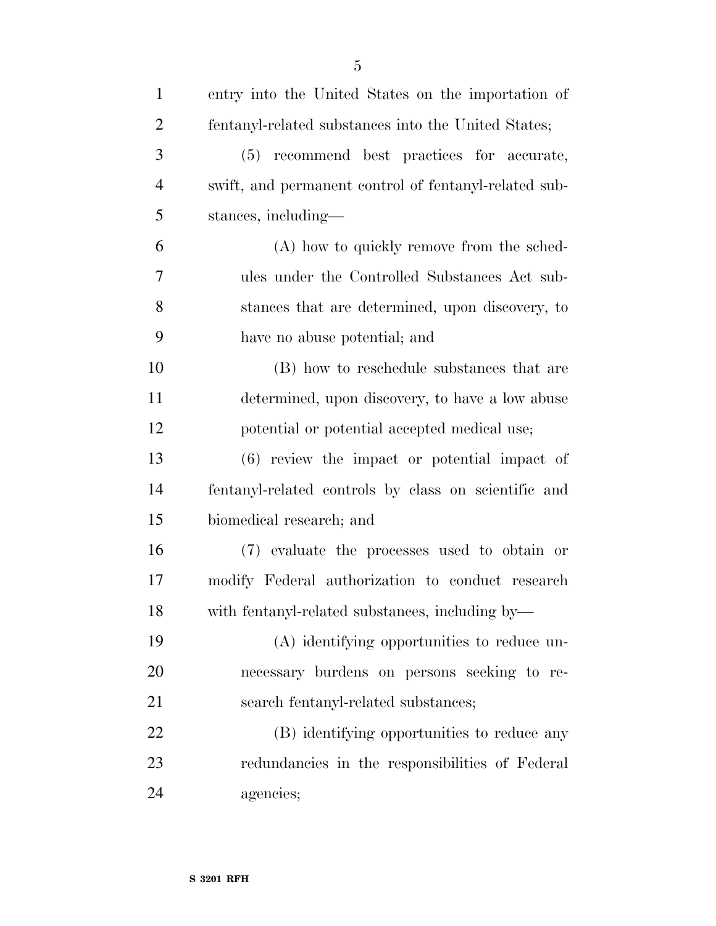| $\mathbf{1}$   | entry into the United States on the importation of    |
|----------------|-------------------------------------------------------|
| $\overline{2}$ | fentanyl-related substances into the United States;   |
| 3              | recommend best practices for accurate,<br>(5)         |
| $\overline{4}$ | swift, and permanent control of fentanyl-related sub- |
| 5              | stances, including—                                   |
| 6              | (A) how to quickly remove from the sched-             |
| $\overline{7}$ | ules under the Controlled Substances Act sub-         |
| 8              | stances that are determined, upon discovery, to       |
| 9              | have no abuse potential; and                          |
| 10             | (B) how to reschedule substances that are             |
| 11             | determined, upon discovery, to have a low abuse       |
| 12             | potential or potential accepted medical use;          |
| 13             | (6) review the impact or potential impact of          |
| 14             | fentanyl-related controls by class on scientific and  |
| 15             | biomedical research; and                              |
| 16             | (7) evaluate the processes used to obtain or          |
| 17             | modify Federal authorization to conduct research      |
| 18             | with fentanyl-related substances, including by-       |
| 19             | (A) identifying opportunities to reduce un-           |
| 20             | necessary burdens on persons seeking to re-           |
| 21             | search fentanyl-related substances;                   |
| 22             | (B) identifying opportunities to reduce any           |
| 23             | redundancies in the responsibilities of Federal       |
| 24             | agencies;                                             |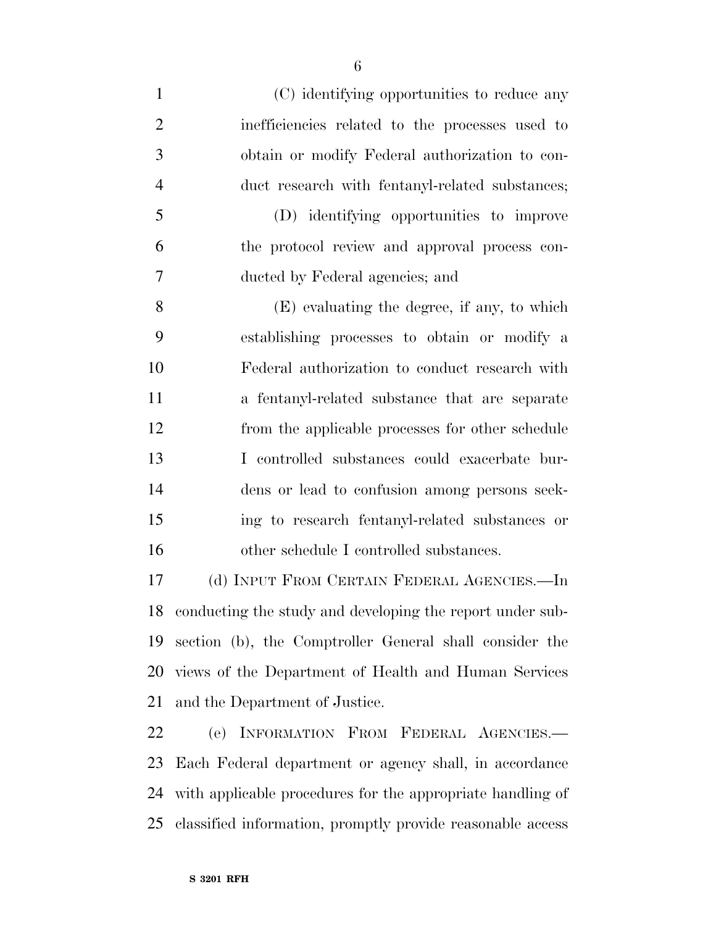(C) identifying opportunities to reduce any inefficiencies related to the processes used to obtain or modify Federal authorization to con- duct research with fentanyl-related substances; (D) identifying opportunities to improve the protocol review and approval process con- ducted by Federal agencies; and (E) evaluating the degree, if any, to which establishing processes to obtain or modify a Federal authorization to conduct research with a fentanyl-related substance that are separate from the applicable processes for other schedule I controlled substances could exacerbate bur-

 dens or lead to confusion among persons seek- ing to research fentanyl-related substances or other schedule I controlled substances.

 (d) INPUT FROM CERTAIN FEDERAL AGENCIES.—In conducting the study and developing the report under sub- section (b), the Comptroller General shall consider the views of the Department of Health and Human Services and the Department of Justice.

 (e) INFORMATION FROM FEDERAL AGENCIES.— Each Federal department or agency shall, in accordance with applicable procedures for the appropriate handling of classified information, promptly provide reasonable access